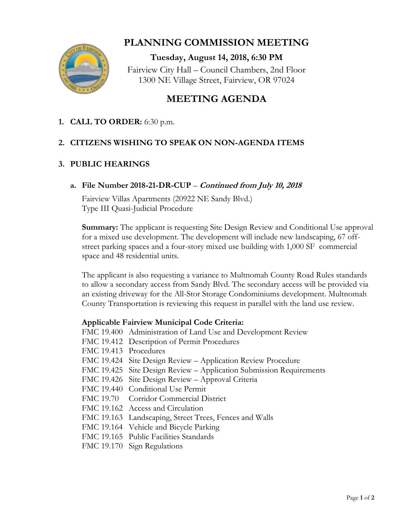

# **PLANNING COMMISSION MEETING**

**Tuesday, August 14, 2018, 6:30 PM** Fairview City Hall – Council Chambers, 2nd Floor 1300 NE Village Street, Fairview, OR 97024

## **MEETING AGENDA**

## **1. CALL TO ORDER:** 6:30 p.m.

### **2. CITIZENS WISHING TO SPEAK ON NON-AGENDA ITEMS**

#### **3. PUBLIC HEARINGS**

#### **a. File Number 2018-21-DR-CUP** – **Continued from July 10, 2018**

Fairview Villas Apartments (20922 NE Sandy Blvd.) Type III Quasi-Judicial Procedure

**Summary:** The applicant is requesting Site Design Review and Conditional Use approval for a mixed use development. The development will include new landscaping, 67 offstreet parking spaces and a four-story mixed use building with 1,000 SF commercial space and 48 residential units.

The applicant is also requesting a variance to Multnomah County Road Rules standards to allow a secondary access from Sandy Blvd. The secondary access will be provided via an existing driveway for the All-Stor Storage Condominiums development. Multnomah County Transportation is reviewing this request in parallel with the land use review.

#### **Applicable Fairview Municipal Code Criteria:**

- FMC 19.400 Administration of Land Use and Development Review
- FMC 19.412 Description of Permit Procedures
- FMC 19.413 Procedures
- FMC 19.424 Site Design Review Application Review Procedure
- FMC 19.425 Site Design Review Application Submission Requirements
- FMC 19.426 Site Design Review Approval Criteria
- FMC 19.440 Conditional Use Permit
- FMC 19.70 Corridor Commercial District
- FMC 19.162 Access and Circulation
- FMC 19.163 Landscaping, Street Trees, Fences and Walls
- FMC 19.164 Vehicle and Bicycle Parking
- FMC 19.165 Public Facilities Standards
- FMC 19.170 Sign Regulations